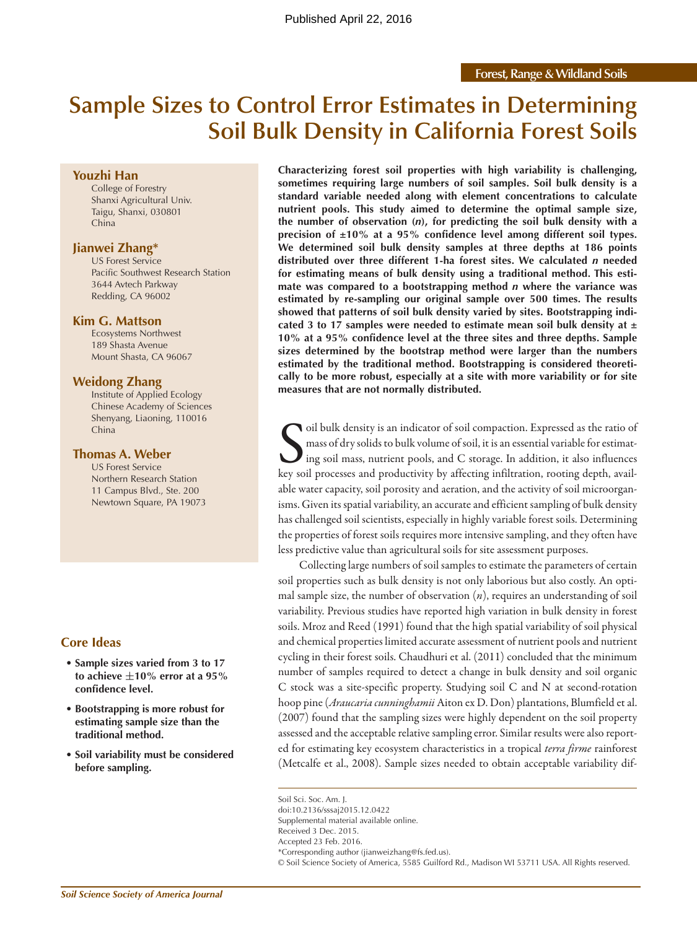# **Sample Sizes to Control Error Estimates in Determining Soil Bulk Density in California Forest Soils**

#### **Youzhi Han**

College of Forestry Shanxi Agricultural Univ. Taigu, Shanxi, 030801 China

#### **Jianwei Zhang\***

US Forest Service Pacific Southwest Research Station 3644 Avtech Parkway Redding, CA 96002

#### **Kim G. Mattson**

Ecosystems Northwest 189 Shasta Avenue Mount Shasta, CA 96067

#### **Weidong Zhang**

Institute of Applied Ecology Chinese Academy of Sciences Shenyang, Liaoning, 110016 China

#### **Thomas A. Weber**

US Forest Service Northern Research Station 11 Campus Blvd., Ste. 200 Newtown Square, PA 19073

# **Core Ideas**

- **• Sample sizes varied from 3 to 17 to achieve ±10% error at a 95% confidence level.**
- **• Bootstrapping is more robust for estimating sample size than the traditional method.**
- **• Soil variability must be considered before sampling.**

**Characterizing forest soil properties with high variability is challenging, sometimes requiring large numbers of soil samples. Soil bulk density is a standard variable needed along with element concentrations to calculate nutrient pools. This study aimed to determine the optimal sample size, the number of observation (***n***), for predicting the soil bulk density with a precision of ±10% at a 95% confidence level among different soil types. We determined soil bulk density samples at three depths at 186 points distributed over three different 1-ha forest sites. We calculated** *n* **needed for estimating means of bulk density using a traditional method. This estimate was compared to a bootstrapping method** *n* **where the variance was estimated by re-sampling our original sample over 500 times. The results showed that patterns of soil bulk density varied by sites. Bootstrapping indicated 3 to 17 samples were needed to estimate mean soil bulk density at ± 10% at a 95% confidence level at the three sites and three depths. Sample sizes determined by the bootstrap method were larger than the numbers estimated by the traditional method. Bootstrapping is considered theoretically to be more robust, especially at a site with more variability or for site measures that are not normally distributed.**

Soil bulk density is an indicator of soil compaction. Expressed as the ratio of mass of dry solids to bulk volume of soil, it is an essential variable for estimating soil mass, nutrient pools, and C storage. In addition, i oil bulk density is an indicator of soil compaction. Expressed as the ratio of mass of dry solids to bulk volume of soil, it is an essential variable for estimat- $\blacktriangleright$  ing soil mass, nutrient pools, and C storage. In addition, it also influences able water capacity, soil porosity and aeration, and the activity of soil microorganisms. Given its spatial variability, an accurate and efficient sampling of bulk density has challenged soil scientists, especially in highly variable forest soils. Determining the properties of forest soils requires more intensive sampling, and they often have less predictive value than agricultural soils for site assessment purposes.

Collecting large numbers of soil samples to estimate the parameters of certain soil properties such as bulk density is not only laborious but also costly. An optimal sample size, the number of observation (*n*), requires an understanding of soil variability. Previous studies have reported high variation in bulk density in forest soils. Mroz and Reed (1991) found that the high spatial variability of soil physical and chemical properties limited accurate assessment of nutrient pools and nutrient cycling in their forest soils. Chaudhuri et al. (2011) concluded that the minimum number of samples required to detect a change in bulk density and soil organic C stock was a site-specific property. Studying soil C and N at second-rotation hoop pine (*Araucaria cunninghamii* Aiton ex D. Don) plantations, Blumfield et al. (2007) found that the sampling sizes were highly dependent on the soil property assessed and the acceptable relative sampling error. Similar results were also reported for estimating key ecosystem characteristics in a tropical *terra firme* rainforest (Metcalfe et al., 2008). Sample sizes needed to obtain acceptable variability dif-

Supplemental material available online.

Received 3 Dec. 2015. Accepted 23 Feb. 2016.

© Soil Science Society of America, 5585 Guilford Rd., Madison WI 53711 USA. All Rights reserved.

Soil Sci. Soc. Am. J.

doi:[10.2136/sssaj2](10.2136/sssaj)015.12.0422

<sup>\*</sup>Corresponding author ([jianweizhang@fs.fed.us](mailto:jianweizhang@fs.fed.us)).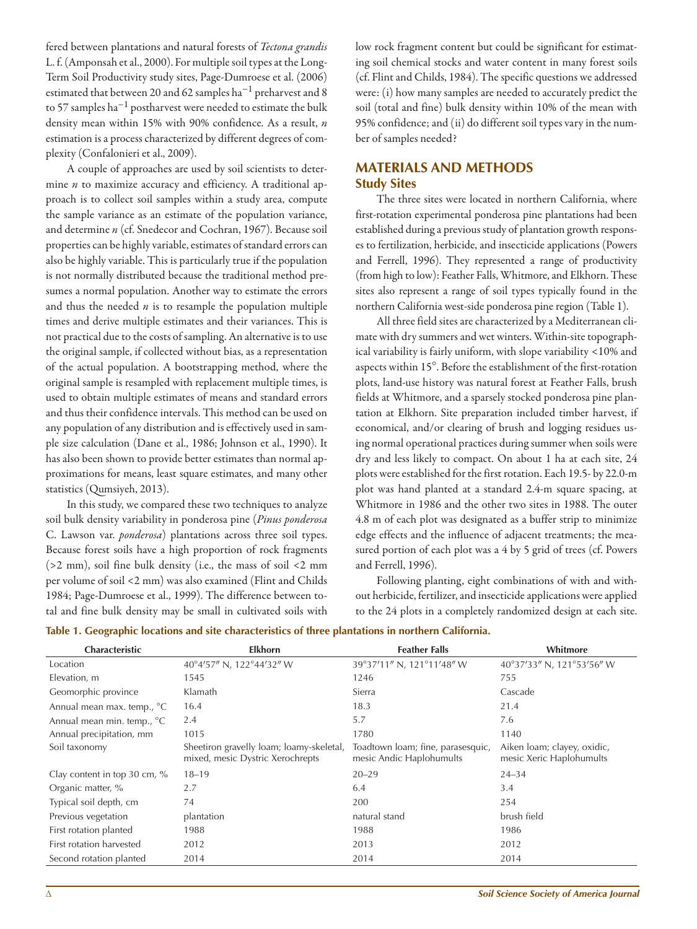fered between plantations and natural forests of *Tectona grandis* L. f. (Amponsah et al., 2000). For multiple soil types at the Long-Term Soil Productivity study sites, Page-Dumroese et al. (2006) estimated that between 20 and 62 samples ha−1 preharvest and 8 to 57 samples ha $^{-1}$  postharvest were needed to estimate the bulk density mean within 15% with 90% confidence. As a result, *n* estimation is a process characterized by different degrees of complexity (Confalonieri et al., 2009).

A couple of approaches are used by soil scientists to determine *n* to maximize accuracy and efficiency. A traditional approach is to collect soil samples within a study area, compute the sample variance as an estimate of the population variance, and determine *n* (cf. Snedecor and Cochran, 1967). Because soil properties can be highly variable, estimates of standard errors can also be highly variable. This is particularly true if the population is not normally distributed because the traditional method presumes a normal population. Another way to estimate the errors and thus the needed *n* is to resample the population multiple times and derive multiple estimates and their variances. This is not practical due to the costs of sampling. An alternative is to use the original sample, if collected without bias, as a representation of the actual population. A bootstrapping method, where the original sample is resampled with replacement multiple times, is used to obtain multiple estimates of means and standard errors and thus their confidence intervals. This method can be used on any population of any distribution and is effectively used in sample size calculation (Dane et al., 1986; Johnson et al., 1990). It has also been shown to provide better estimates than normal approximations for means, least square estimates, and many other statistics (Qumsiyeh, 2013).

In this study, we compared these two techniques to analyze soil bulk density variability in ponderosa pine (*Pinus ponderosa* C. Lawson var. *ponderosa*) plantations across three soil types. Because forest soils have a high proportion of rock fragments (>2 mm), soil fine bulk density (i.e., the mass of soil <2 mm per volume of soil <2 mm) was also examined (Flint and Childs 1984; Page-Dumroese et al., 1999). The difference between total and fine bulk density may be small in cultivated soils with low rock fragment content but could be significant for estimating soil chemical stocks and water content in many forest soils (cf. Flint and Childs, 1984). The specific questions we addressed were: (i) how many samples are needed to accurately predict the soil (total and fine) bulk density within 10% of the mean with 95% confidence; and (ii) do different soil types vary in the number of samples needed?

# **MATERIALS AND METHODS Study Sites**

The three sites were located in northern California, where first-rotation experimental ponderosa pine plantations had been established during a previous study of plantation growth responses to fertilization, herbicide, and insecticide applications (Powers and Ferrell, 1996). They represented a range of productivity (from high to low): Feather Falls, Whitmore, and Elkhorn. These sites also represent a range of soil types typically found in the northern California west-side ponderosa pine region (Table 1).

All three field sites are characterized by a Mediterranean climate with dry summers and wet winters. Within-site topographical variability is fairly uniform, with slope variability <10% and aspects within 15°. Before the establishment of the first-rotation plots, land-use history was natural forest at Feather Falls, brush fields at Whitmore, and a sparsely stocked ponderosa pine plantation at Elkhorn. Site preparation included timber harvest, if economical, and/or clearing of brush and logging residues using normal operational practices during summer when soils were dry and less likely to compact. On about 1 ha at each site, 24 plots were established for the first rotation. Each 19.5- by 22.0-m plot was hand planted at a standard 2.4-m square spacing, at Whitmore in 1986 and the other two sites in 1988. The outer 4.8 m of each plot was designated as a buffer strip to minimize edge effects and the influence of adjacent treatments; the measured portion of each plot was a 4 by 5 grid of trees (cf. Powers and Ferrell, 1996).

Following planting, eight combinations of with and without herbicide, fertilizer, and insecticide applications were applied to the 24 plots in a completely randomized design at each site.

| Characteristic               | <b>Elkhorn</b>                                                               | <b>Feather Falls</b>                                          | Whitmore                                                |  |
|------------------------------|------------------------------------------------------------------------------|---------------------------------------------------------------|---------------------------------------------------------|--|
| Location                     | 40°4'57" N, 122°44'32" W                                                     | 39°37'11" N, 121°11'48" W                                     | 40°37'33" N, 121°53'56" W                               |  |
| Elevation, m                 | 1545                                                                         | 1246                                                          | 755                                                     |  |
| Geomorphic province          | Klamath                                                                      | Sierra                                                        | Cascade                                                 |  |
| Annual mean max. temp., °C   | 16.4                                                                         | 18.3                                                          | 21.4                                                    |  |
| Annual mean min. temp., °C   | 2.4                                                                          | 5.7                                                           | 7.6                                                     |  |
| Annual precipitation, mm     | 1015                                                                         | 1780                                                          | 1140                                                    |  |
| Soil taxonomy                | Sheetiron gravelly loam; loamy-skeletal,<br>mixed, mesic Dystric Xerochrepts | Toadtown loam; fine, parasesquic,<br>mesic Andic Haplohumults | Aiken loam; clayey, oxidic,<br>mesic Xeric Haplohumults |  |
| Clay content in top 30 cm, % | $18 - 19$                                                                    | $20 - 29$                                                     | $24 - 34$                                               |  |
| Organic matter, %            | 2.7                                                                          | 6.4                                                           | 3.4                                                     |  |
| Typical soil depth, cm       | 74                                                                           | 200                                                           | 254                                                     |  |
| Previous vegetation          | plantation                                                                   | natural stand                                                 | brush field                                             |  |
| First rotation planted       | 1988                                                                         | 1988                                                          | 1986                                                    |  |
| First rotation harvested     | 2012                                                                         | 2013                                                          | 2012                                                    |  |
| Second rotation planted      | 2014                                                                         | 2014                                                          | 2014                                                    |  |

|  |  |  |  | Table 1. Geographic locations and site characteristics of three plantations in northern California. |  |  |  |  |
|--|--|--|--|-----------------------------------------------------------------------------------------------------|--|--|--|--|
|--|--|--|--|-----------------------------------------------------------------------------------------------------|--|--|--|--|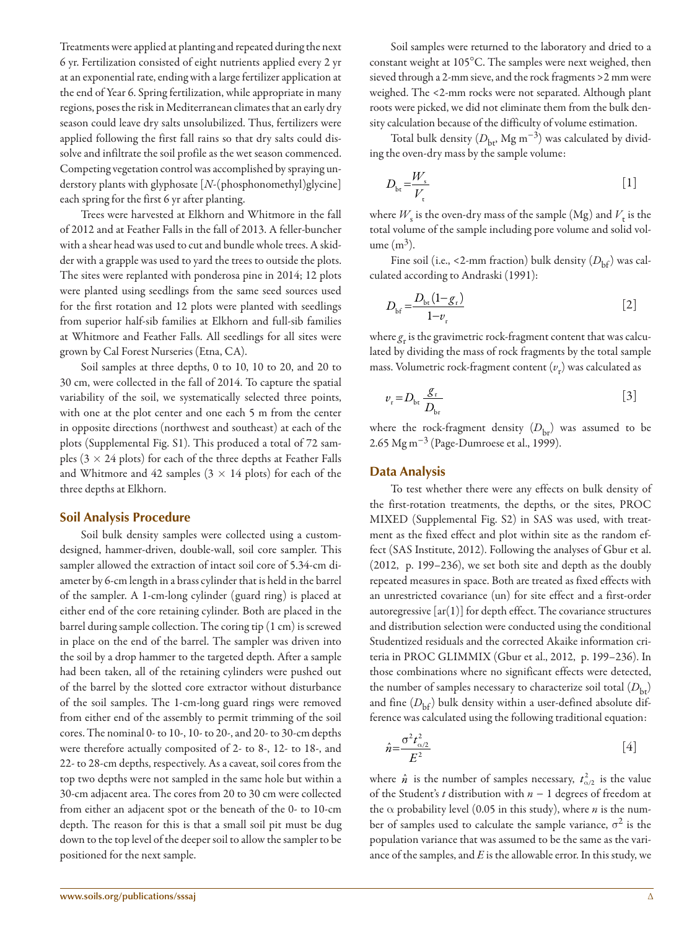Treatments were applied at planting and repeated during the next 6 yr. Fertilization consisted of eight nutrients applied every 2 yr at an exponential rate, ending with a large fertilizer application at the end of Year 6. Spring fertilization, while appropriate in many regions, poses the risk in Mediterranean climates that an early dry season could leave dry salts unsolubilized. Thus, fertilizers were applied following the first fall rains so that dry salts could dissolve and infiltrate the soil profile as the wet season commenced. Competing vegetation control was accomplished by spraying understory plants with glyphosate [*N*-(phosphonomethyl)glycine] each spring for the first 6 yr after planting.

Trees were harvested at Elkhorn and Whitmore in the fall of 2012 and at Feather Falls in the fall of 2013. A feller-buncher with a shear head was used to cut and bundle whole trees. A skidder with a grapple was used to yard the trees to outside the plots. The sites were replanted with ponderosa pine in 2014; 12 plots were planted using seedlings from the same seed sources used for the first rotation and 12 plots were planted with seedlings from superior half-sib families at Elkhorn and full-sib families at Whitmore and Feather Falls. All seedlings for all sites were grown by Cal Forest Nurseries (Etna, CA).

Soil samples at three depths, 0 to 10, 10 to 20, and 20 to 30 cm, were collected in the fall of 2014. To capture the spatial variability of the soil, we systematically selected three points, with one at the plot center and one each 5 m from the center in opposite directions (northwest and southeast) at each of the plots (Supplemental Fig. S1). This produced a total of 72 samples ( $3 \times 24$  plots) for each of the three depths at Feather Falls and Whitmore and 42 samples  $(3 \times 14$  plots) for each of the three depths at Elkhorn.

#### **Soil Analysis Procedure**

Soil bulk density samples were collected using a customdesigned, hammer-driven, double-wall, soil core sampler. This sampler allowed the extraction of intact soil core of 5.34-cm diameter by 6-cm length in a brass cylinder that is held in the barrel of the sampler. A 1-cm-long cylinder (guard ring) is placed at either end of the core retaining cylinder. Both are placed in the barrel during sample collection. The coring tip (1 cm) is screwed in place on the end of the barrel. The sampler was driven into the soil by a drop hammer to the targeted depth. After a sample had been taken, all of the retaining cylinders were pushed out of the barrel by the slotted core extractor without disturbance of the soil samples. The 1-cm-long guard rings were removed from either end of the assembly to permit trimming of the soil cores. The nominal 0- to 10-, 10- to 20-, and 20- to 30-cm depths were therefore actually composited of 2- to 8-, 12- to 18-, and 22- to 28-cm depths, respectively. As a caveat, soil cores from the top two depths were not sampled in the same hole but within a 30-cm adjacent area. The cores from 20 to 30 cm were collected from either an adjacent spot or the beneath of the 0- to 10-cm depth. The reason for this is that a small soil pit must be dug down to the top level of the deeper soil to allow the sampler to be positioned for the next sample.

Soil samples were returned to the laboratory and dried to a constant weight at 105°C. The samples were next weighed, then sieved through a 2-mm sieve, and the rock fragments >2 mm were weighed. The <2-mm rocks were not separated. Although plant roots were picked, we did not eliminate them from the bulk density calculation because of the difficulty of volume estimation.

Total bulk density ( $D_{\text{bt}}$ , Mg m<sup>-3</sup>) was calculated by dividing the oven-dry mass by the sample volume:

$$
D_{\rm bt} = \frac{W_s}{V_{\rm t}} \tag{1}
$$

where  $W_{\rm s}$  is the oven-dry mass of the sample (Mg) and  $V_{\rm t}$  is the total volume of the sample including pore volume and solid volume  $(m^3)$ .

Fine soil (i.e., <2-mm fraction) bulk density  $(D<sub>bf</sub>)$  was calculated according to Andraski (1991):

$$
D_{\rm bf} = \frac{D_{\rm bt} (1 - g_{\rm r})}{1 - v_{\rm r}} \tag{2}
$$

where  $g_{\rm r}$  is the gravimetric rock-fragment content that was calculated by dividing the mass of rock fragments by the total sample mass. Volumetric rock-fragment content  $(v_r)$  was calculated as

$$
v_{\rm r} = D_{\rm bt} \frac{g_{\rm r}}{D_{\rm br}} \tag{3}
$$

where the rock-fragment density  $(D_{\text{br}})$  was assumed to be 2.65 Mg m−3 (Page-Dumroese et al., 1999).

#### **Data Analysis**

To test whether there were any effects on bulk density of the first-rotation treatments, the depths, or the sites, PROC MIXED (Supplemental Fig. S2) in SAS was used, with treatment as the fixed effect and plot within site as the random effect (SAS Institute, 2012). Following the analyses of Gbur et al. (2012, p. 199–236), we set both site and depth as the doubly repeated measures in space. Both are treated as fixed effects with an unrestricted covariance (un) for site effect and a first-order autoregressive  $\lbrack ar(1) \rbrack$  for depth effect. The covariance structures and distribution selection were conducted using the conditional Studentized residuals and the corrected Akaike information criteria in PROC GLIMMIX (Gbur et al., 2012, p. 199–236). In those combinations where no significant effects were detected, the number of samples necessary to characterize soil total  $(D_{\text{b}})$ and fine  $(D<sub>bf</sub>)$  bulk density within a user-defined absolute difference was calculated using the following traditional equation:

$$
\hat{n} = \frac{\sigma^2 t_{\alpha/2}^2}{E^2} \tag{4}
$$

where  $\hat{n}$  is the number of samples necessary,  $t_{\alpha/2}^2$  is the value of the Student's *t* distribution with *n* − 1 degrees of freedom at the  $\alpha$  probability level (0.05 in this study), where *n* is the number of samples used to calculate the sample variance,  $\sigma^2$  is the population variance that was assumed to be the same as the variance of the samples, and *E* is the allowable error. In this study, we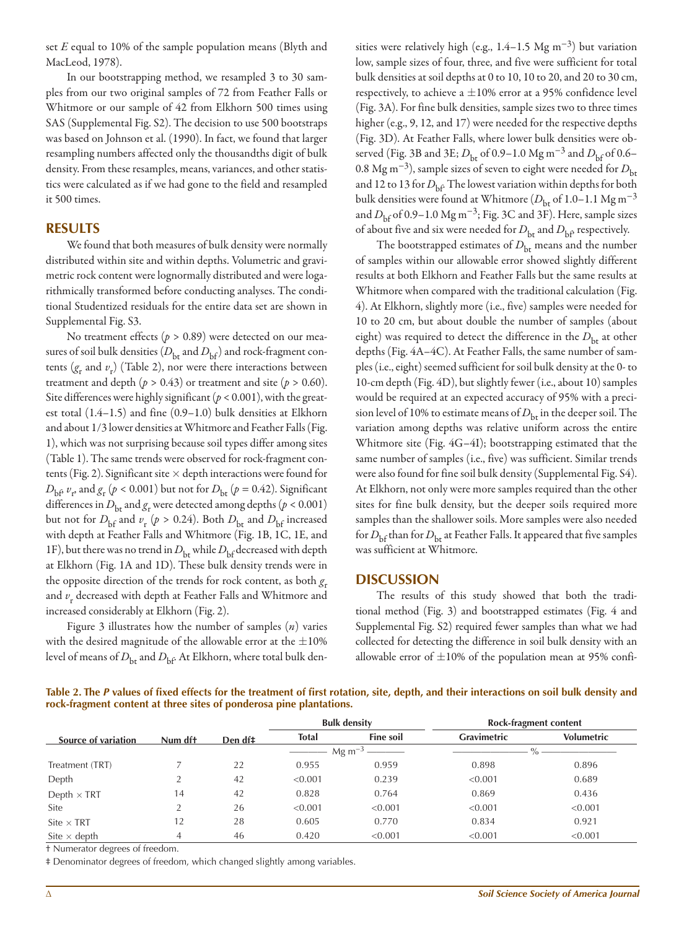set *E* equal to 10% of the sample population means (Blyth and MacLeod, 1978).

In our bootstrapping method, we resampled 3 to 30 samples from our two original samples of 72 from Feather Falls or Whitmore or our sample of 42 from Elkhorn 500 times using SAS (Supplemental Fig. S2). The decision to use 500 bootstraps was based on Johnson et al. (1990). In fact, we found that larger resampling numbers affected only the thousandths digit of bulk density. From these resamples, means, variances, and other statistics were calculated as if we had gone to the field and resampled it 500 times.

# **RESULTS**

We found that both measures of bulk density were normally distributed within site and within depths. Volumetric and gravimetric rock content were lognormally distributed and were logarithmically transformed before conducting analyses. The conditional Studentized residuals for the entire data set are shown in Supplemental Fig. S3.

No treatment effects ( $p > 0.89$ ) were detected on our measures of soil bulk densities ( $D_{\text{bt}}$  and  $D_{\text{bf}}$ ) and rock-fragment contents  $(g<sub>r</sub>$  and  $v<sub>r</sub>$ ) (Table 2), nor were there interactions between treatment and depth  $(p > 0.43)$  or treatment and site  $(p > 0.60)$ . Site differences were highly significant ( $p < 0.001$ ), with the greatest total (1.4–1.5) and fine (0.9–1.0) bulk densities at Elkhorn and about 1/3 lower densities at Whitmore and Feather Falls (Fig. 1), which was not surprising because soil types differ among sites (Table 1). The same trends were observed for rock-fragment contents (Fig. 2). Significant site  $\times$  depth interactions were found for  $D_{\rm bf}$ ,  $v_{\rm r}$ , and  $g_{\rm r}$  ( $p < 0.001$ ) but not for  $D_{\rm bt}$  ( $p = 0.42$ ). Significant differences in  $D_{\text{bt}}$  and  $g_{\text{r}}$  were detected among depths ( $p < 0.001$ ) but not for  $D_{\rm bf}$  and  $v_{\rm r}$  ( $p > 0.24$ ). Both  $D_{\rm bt}$  and  $D_{\rm bf}$  increased with depth at Feather Falls and Whitmore (Fig. 1B, 1C, 1E, and 1F), but there was no trend in  $D_{\rm bt}$  while  $D_{\rm bf}$  decreased with depth at Elkhorn (Fig. 1A and 1D). These bulk density trends were in the opposite direction of the trends for rock content, as both *g*<sup>r</sup> and  $v_{\rm r}$  decreased with depth at Feather Falls and Whitmore and increased considerably at Elkhorn (Fig. 2).

Figure 3 illustrates how the number of samples (*n*) varies with the desired magnitude of the allowable error at the  $\pm 10\%$ level of means of  $D_{\rm bt}$  and  $D_{\rm bf}$ . At Elkhorn, where total bulk densities were relatively high (e.g.,  $1.4-1.5 \text{ Mg m}^{-3}$ ) but variation low, sample sizes of four, three, and five were sufficient for total bulk densities at soil depths at 0 to 10, 10 to 20, and 20 to 30 cm, respectively, to achieve a  $\pm 10\%$  error at a 95% confidence level (Fig. 3A). For fine bulk densities, sample sizes two to three times higher (e.g., 9, 12, and 17) were needed for the respective depths (Fig. 3D). At Feather Falls, where lower bulk densities were observed (Fig. 3B and 3E; *D*<sub>bt</sub> of 0.9–1.0 Mg m<sup>−3</sup> and *D*<sub>bf</sub> of 0.6– 0.8 Mg m<sup>−3</sup>), sample sizes of seven to eight were needed for  $D<sub>bt</sub>$ and 12 to 13 for  $D_{\mathrm{bf}}$ . The lowest variation within depths for both bulk densities were found at Whitmore ( $D_{\rm bt}$  of 1.0–1.1 Mg m<sup>−3</sup> and  $D_{\rm bf}$  of 0.9–1.0 Mg m<sup>-3</sup>; Fig. 3C and 3F). Here, sample sizes of about five and six were needed for  $D_{\rm bt}$  and  $D_{\rm bf}$  respectively.

The bootstrapped estimates of  $D_{\text{bt}}$  means and the number of samples within our allowable error showed slightly different results at both Elkhorn and Feather Falls but the same results at Whitmore when compared with the traditional calculation (Fig. 4). At Elkhorn, slightly more (i.e., five) samples were needed for 10 to 20 cm, but about double the number of samples (about eight) was required to detect the difference in the  $D_{\rm bt}$  at other depths (Fig. 4A–4C). At Feather Falls, the same number of samples (i.e., eight) seemed sufficient for soil bulk density at the 0- to 10-cm depth (Fig. 4D), but slightly fewer (i.e., about 10) samples would be required at an expected accuracy of 95% with a precision level of 10% to estimate means of  $D_{\rm bt}$  in the deeper soil. The variation among depths was relative uniform across the entire Whitmore site (Fig. 4G–4I); bootstrapping estimated that the same number of samples (i.e., five) was sufficient. Similar trends were also found for fine soil bulk density (Supplemental Fig. S4). At Elkhorn, not only were more samples required than the other sites for fine bulk density, but the deeper soils required more samples than the shallower soils. More samples were also needed for  $D_{\rm bf}$  than for  $D_{\rm bt}$  at Feather Falls. It appeared that five samples was sufficient at Whitmore.

# **DISCUSSION**

The results of this study showed that both the traditional method (Fig. 3) and bootstrapped estimates (Fig. 4 and Supplemental Fig. S2) required fewer samples than what we had collected for detecting the difference in soil bulk density with an allowable error of  $\pm 10\%$  of the population mean at 95% confi-

**Table 2. The** *P* **values of fixed effects for the treatment of first rotation, site, depth, and their interactions on soil bulk density and rock-fragment content at three sites of ponderosa pine plantations.**

|                     | Num dft        | Den df‡ | <b>Bulk density</b> |                  | Rock-fragment content |                   |
|---------------------|----------------|---------|---------------------|------------------|-----------------------|-------------------|
| Source of variation |                |         | <b>Total</b>        | <b>Fine soil</b> | <b>Gravimetric</b>    | <b>Volumetric</b> |
|                     |                |         |                     |                  | $\frac{0}{0}$         |                   |
| Treatment (TRT)     |                | 22      | 0.955               | 0.959            | 0.898                 | 0.896             |
| Depth               |                | 42      | < 0.001             | 0.239            | < 0.001               | 0.689             |
| Depth $\times$ TRT  | 14             | 42      | 0.828               | 0.764            | 0.869                 | 0.436             |
| Site                |                | 26      | < 0.001             | < 0.001          | < 0.001               | < 0.001           |
| Site $\times$ TRT   | 12             | 28      | 0.605               | 0.770            | 0.834                 | 0.921             |
| Site $\times$ depth | $\overline{4}$ | 46      | 0.420               | < 0.001          | < 0.001               | < 0.001           |

† Numerator degrees of freedom.

‡ Denominator degrees of freedom, which changed slightly among variables.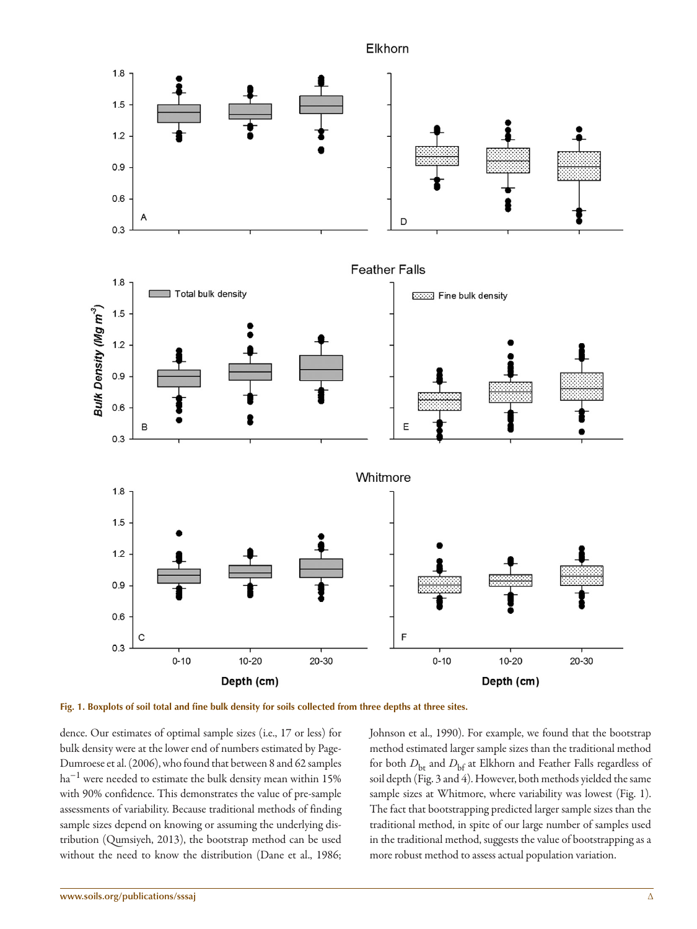Elkhorn  $1.8$  $1.5$  $1.2$  $0.9$  $0.6$ D  $0.3$ **Feather Falls**  $1.8$ Total bulk density **ESSEE Fine bulk density Bulk Density (Mgm<sup>3</sup>)**  $1.5$  $1.2$  $0.9$  $0.6$ Ε B  $0.3$ Whitmore  $1.8$ 1.5  $1.2$  $0.9$  $0.6$ C F  $0.3$  $0 - 10$  $10 - 20$  $20 - 30$  $0 - 10$  $10 - 20$  $20 - 30$ Depth (cm) Depth (cm)

**Fig. 1. Boxplots of soil total and fine bulk density for soils collected from three depths at three sites.**

dence. Our estimates of optimal sample sizes (i.e., 17 or less) for bulk density were at the lower end of numbers estimated by Page-Dumroese et al. (2006), who found that between 8 and 62 samples ha<sup>-1</sup> were needed to estimate the bulk density mean within 15% with 90% confidence. This demonstrates the value of pre-sample assessments of variability. Because traditional methods of finding sample sizes depend on knowing or assuming the underlying distribution (Qumsiyeh, 2013), the bootstrap method can be used without the need to know the distribution (Dane et al., 1986; Johnson et al., 1990). For example, we found that the bootstrap method estimated larger sample sizes than the traditional method for both  $D_{\text{bt}}$  and  $D_{\text{bf}}$  at Elkhorn and Feather Falls regardless of soil depth (Fig. 3 and 4). However, both methods yielded the same sample sizes at Whitmore, where variability was lowest (Fig. 1). The fact that bootstrapping predicted larger sample sizes than the traditional method, in spite of our large number of samples used in the traditional method, suggests the value of bootstrapping as a more robust method to assess actual population variation.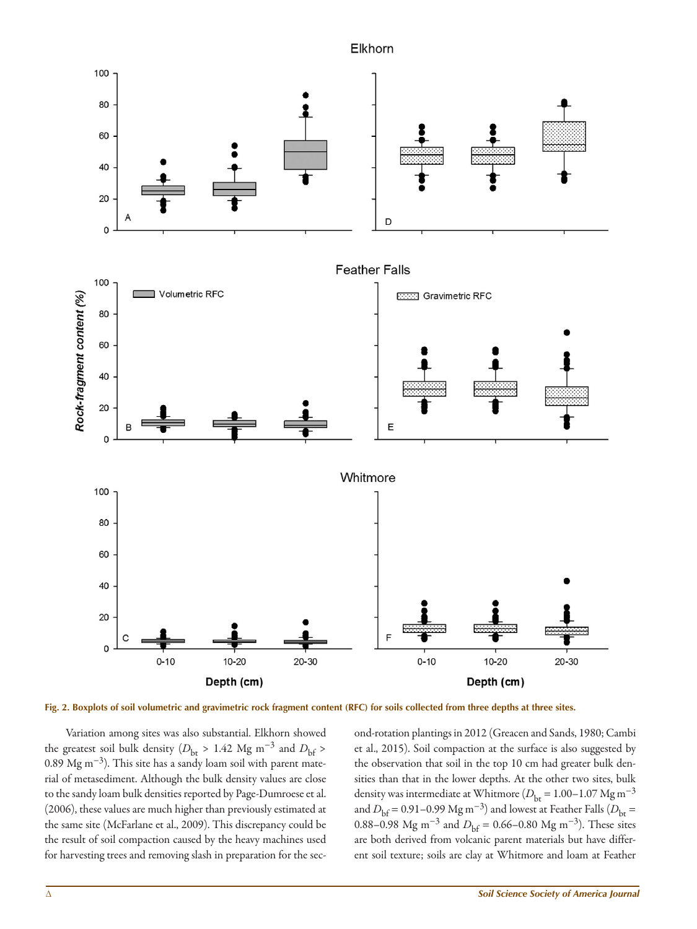Elkhorn



**Fig. 2. Boxplots of soil volumetric and gravimetric rock fragment content (RFC) for soils collected from three depths at three sites.**

Variation among sites was also substantial. Elkhorn showed the greatest soil bulk density ( $D_{\text{bt}} > 1.42 \text{ Mg m}^{-3}$  and  $D_{\text{bf}} > 1.42 \text{ Mg m}^{-3}$ 0.89 Mg m<sup>-3</sup>). This site has a sandy loam soil with parent material of metasediment. Although the bulk density values are close to the sandy loam bulk densities reported by Page-Dumroese et al. (2006), these values are much higher than previously estimated at the same site (McFarlane et al., 2009). This discrepancy could be the result of soil compaction caused by the heavy machines used for harvesting trees and removing slash in preparation for the sec-

ond-rotation plantings in 2012 (Greacen and Sands, 1980; Cambi et al., 2015). Soil compaction at the surface is also suggested by the observation that soil in the top 10 cm had greater bulk densities than that in the lower depths. At the other two sites, bulk density was intermediate at Whitmore ( $D_{\text{bt}} = 1.00-1.07 \text{ Mg m}^{-3}$ and *D*<sub>bf</sub> = 0.91–0.99 Mg m<sup>-3</sup>) and lowest at Feather Falls (*D*<sub>bt</sub> = 0.88–0.98 Mg m<sup>-3</sup> and  $D_{\text{bf}} = 0.66$ –0.80 Mg m<sup>-3</sup>). These sites are both derived from volcanic parent materials but have different soil texture; soils are clay at Whitmore and loam at Feather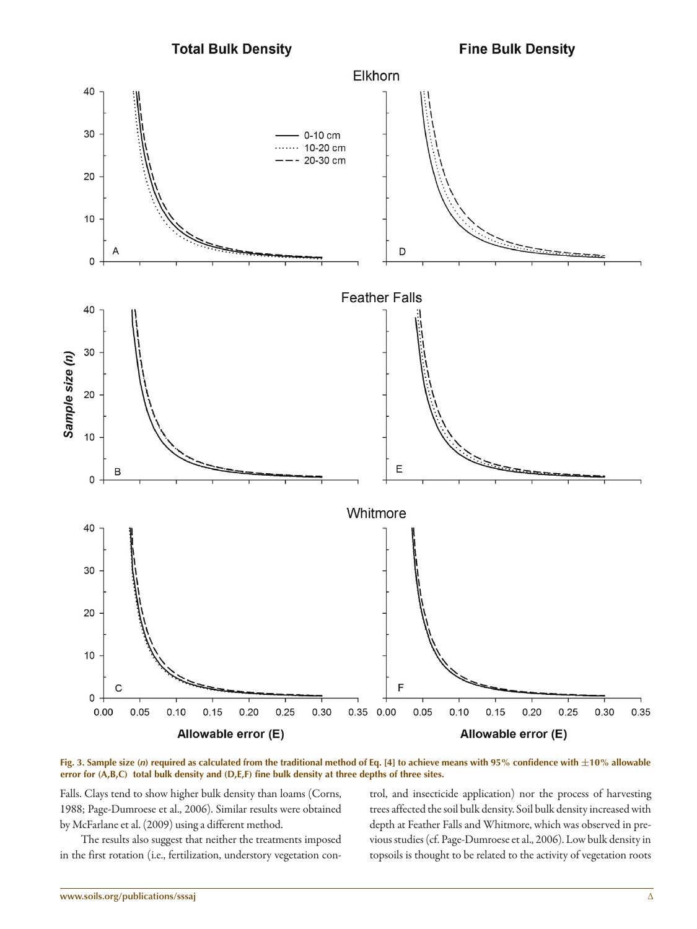**Total Bulk Density** 



**Fig. 3. Sample size (***n***) required as calculated from the traditional method of Eq. [4] to achieve means with 95% confidence with ±10% allowable error for (A,B,C) total bulk density and (D,E,F) fine bulk density at three depths of three sites.**

Falls. Clays tend to show higher bulk density than loams (Corns, 1988; Page-Dumroese et al., 2006). Similar results were obtained by McFarlane et al. (2009) using a different method.

The results also suggest that neither the treatments imposed in the first rotation (i.e., fertilization, understory vegetation control, and insecticide application) nor the process of harvesting trees affected the soil bulk density. Soil bulk density increased with depth at Feather Falls and Whitmore, which was observed in previous studies (cf. Page-Dumroese et al., 2006). Low bulk density in topsoils is thought to be related to the activity of vegetation roots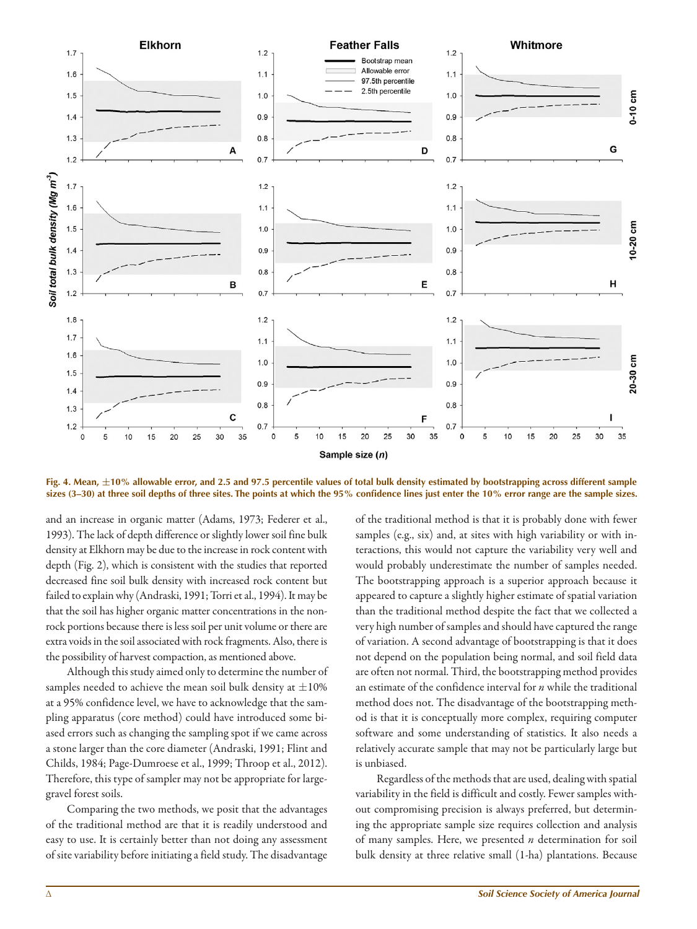

**Fig. 4. Mean, ±10% allowable error, and 2.5 and 97.5 percentile values of total bulk density estimated by bootstrapping across different sample sizes (3–30) at three soil depths of three sites. The points at which the 95% confidence lines just enter the 10% error range are the sample sizes.**

and an increase in organic matter (Adams, 1973; Federer et al., 1993). The lack of depth difference or slightly lower soil fine bulk density at Elkhorn may be due to the increase in rock content with depth (Fig. 2), which is consistent with the studies that reported decreased fine soil bulk density with increased rock content but failed to explain why (Andraski, 1991; Torri et al., 1994). It may be that the soil has higher organic matter concentrations in the nonrock portions because there is less soil per unit volume or there are extra voids in the soil associated with rock fragments. Also, there is the possibility of harvest compaction, as mentioned above.

Although this study aimed only to determine the number of samples needed to achieve the mean soil bulk density at  $\pm 10\%$ at a 95% confidence level, we have to acknowledge that the sampling apparatus (core method) could have introduced some biased errors such as changing the sampling spot if we came across a stone larger than the core diameter (Andraski, 1991; Flint and Childs, 1984; Page-Dumroese et al., 1999; Throop et al., 2012). Therefore, this type of sampler may not be appropriate for largegravel forest soils.

Comparing the two methods, we posit that the advantages of the traditional method are that it is readily understood and easy to use. It is certainly better than not doing any assessment of site variability before initiating a field study. The disadvantage

of the traditional method is that it is probably done with fewer samples (e.g., six) and, at sites with high variability or with interactions, this would not capture the variability very well and would probably underestimate the number of samples needed. The bootstrapping approach is a superior approach because it appeared to capture a slightly higher estimate of spatial variation than the traditional method despite the fact that we collected a very high number of samples and should have captured the range of variation. A second advantage of bootstrapping is that it does not depend on the population being normal, and soil field data are often not normal. Third, the bootstrapping method provides an estimate of the confidence interval for *n* while the traditional method does not. The disadvantage of the bootstrapping method is that it is conceptually more complex, requiring computer software and some understanding of statistics. It also needs a relatively accurate sample that may not be particularly large but is unbiased.

Regardless of the methods that are used, dealing with spatial variability in the field is difficult and costly. Fewer samples without compromising precision is always preferred, but determining the appropriate sample size requires collection and analysis of many samples. Here, we presented *n* determination for soil bulk density at three relative small (1-ha) plantations. Because